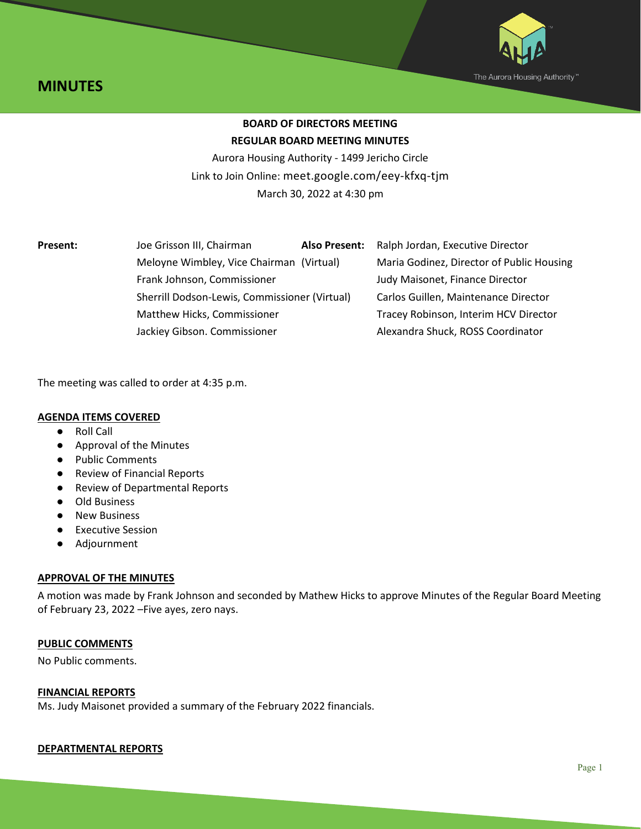



# **BOARD OF DIRECTORS MEETING REGULAR BOARD MEETING MINUTES**

Aurora Housing Authority - 1499 Jericho Circle Link to Join Online: meet.google.com/eey-kfxq-tjm March 30, 2022 at 4:30 pm

| Present: | Joe Grisson III, Chairman                                                    | <b>Also Present:</b> | Ralph Jordan, Executive Director          |
|----------|------------------------------------------------------------------------------|----------------------|-------------------------------------------|
|          | Meloyne Wimbley, Vice Chairman (Virtual)                                     |                      | Maria Godinez, Director of Public Housing |
|          | Frank Johnson, Commissioner                                                  |                      | Judy Maisonet, Finance Director           |
|          | Sherrill Dodson-Lewis, Commissioner (Virtual)<br>Matthew Hicks, Commissioner |                      | Carlos Guillen, Maintenance Director      |
|          |                                                                              |                      | Tracey Robinson, Interim HCV Director     |
|          | Jackiey Gibson. Commissioner                                                 |                      | Alexandra Shuck, ROSS Coordinator         |
|          |                                                                              |                      |                                           |

The meeting was called to order at 4:35 p.m.

## **AGENDA ITEMS COVERED**

- Roll Call
- Approval of the Minutes
- Public Comments
- Review of Financial Reports
- Review of Departmental Reports
- Old Business
- New Business
- Executive Session
- Adjournment

## **APPROVAL OF THE MINUTES**

A motion was made by Frank Johnson and seconded by Mathew Hicks to approve Minutes of the Regular Board Meeting of February 23, 2022 –Five ayes, zero nays.

## **PUBLIC COMMENTS**

No Public comments.

### **FINANCIAL REPORTS**

Ms. Judy Maisonet provided a summary of the February 2022 financials.

### **DEPARTMENTAL REPORTS**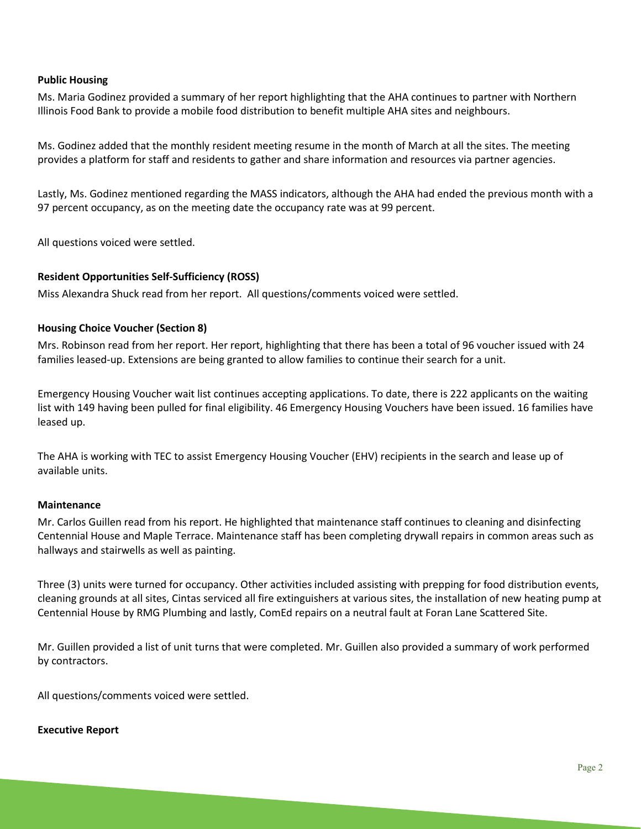## **Public Housing**

Ms. Maria Godinez provided a summary of her report highlighting that the AHA continues to partner with Northern Illinois Food Bank to provide a mobile food distribution to benefit multiple AHA sites and neighbours.

Ms. Godinez added that the monthly resident meeting resume in the month of March at all the sites. The meeting provides a platform for staff and residents to gather and share information and resources via partner agencies.

Lastly, Ms. Godinez mentioned regarding the MASS indicators, although the AHA had ended the previous month with a 97 percent occupancy, as on the meeting date the occupancy rate was at 99 percent.

All questions voiced were settled.

## **Resident Opportunities Self-Sufficiency (ROSS)**

Miss Alexandra Shuck read from her report. All questions/comments voiced were settled.

## **Housing Choice Voucher (Section 8)**

Mrs. Robinson read from her report. Her report, highlighting that there has been a total of 96 voucher issued with 24 families leased-up. Extensions are being granted to allow families to continue their search for a unit.

Emergency Housing Voucher wait list continues accepting applications. To date, there is 222 applicants on the waiting list with 149 having been pulled for final eligibility. 46 Emergency Housing Vouchers have been issued. 16 families have leased up.

The AHA is working with TEC to assist Emergency Housing Voucher (EHV) recipients in the search and lease up of available units.

### **Maintenance**

Mr. Carlos Guillen read from his report. He highlighted that maintenance staff continues to cleaning and disinfecting Centennial House and Maple Terrace. Maintenance staff has been completing drywall repairs in common areas such as hallways and stairwells as well as painting.

Three (3) units were turned for occupancy. Other activities included assisting with prepping for food distribution events, cleaning grounds at all sites, Cintas serviced all fire extinguishers at various sites, the installation of new heating pump at Centennial House by RMG Plumbing and lastly, ComEd repairs on a neutral fault at Foran Lane Scattered Site.

Mr. Guillen provided a list of unit turns that were completed. Mr. Guillen also provided a summary of work performed by contractors.

All questions/comments voiced were settled.

#### **Executive Report**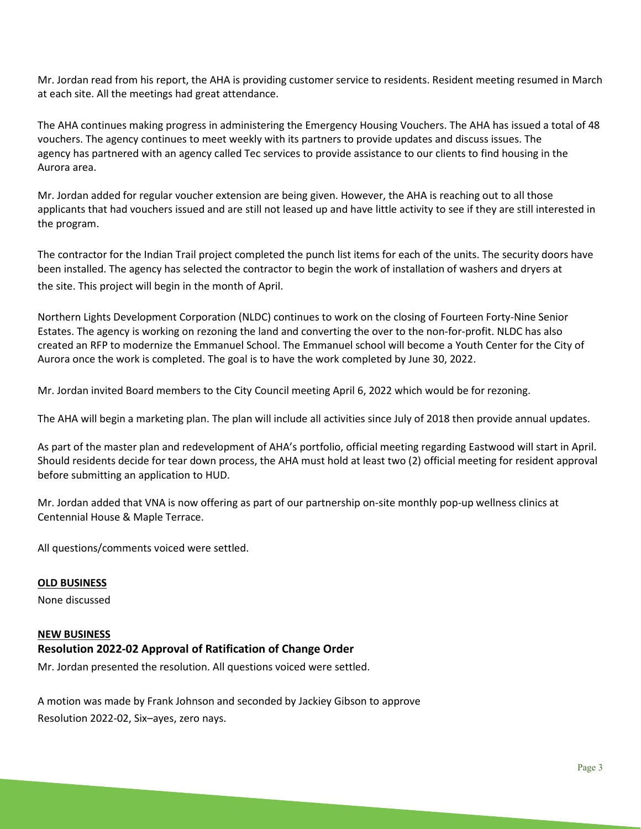Mr. Jordan read from his report, the AHA is providing customer service to residents. Resident meeting resumed in March at each site. All the meetings had great attendance.

The AHA continues making progress in administering the Emergency Housing Vouchers. The AHA has issued a total of 48 vouchers. The agency continues to meet weekly with its partners to provide updates and discuss issues. The agency has partnered with an agency called Tec services to provide assistance to our clients to find housing in the Aurora area.

Mr. Jordan added for regular voucher extension are being given. However, the AHA is reaching out to all those applicants that had vouchers issued and are still not leased up and have little activity to see if they are still interested in the program.

The contractor for the Indian Trail project completed the punch list items for each of the units. The security doors have been installed. The agency has selected the contractor to begin the work of installation of washers and dryers at the site. This project will begin in the month of April.

Northern Lights Development Corporation (NLDC) continues to work on the closing of Fourteen Forty-Nine Senior Estates. The agency is working on rezoning the land and converting the over to the non-for-profit. NLDC has also created an RFP to modernize the Emmanuel School. The Emmanuel school will become a Youth Center for the City of Aurora once the work is completed. The goal is to have the work completed by June 30, 2022.

Mr. Jordan invited Board members to the City Council meeting April 6, 2022 which would be for rezoning.

The AHA will begin a marketing plan. The plan will include all activities since July of 2018 then provide annual updates.

As part of the master plan and redevelopment of AHA's portfolio, official meeting regarding Eastwood will start in April. Should residents decide for tear down process, the AHA must hold at least two (2) official meeting for resident approval before submitting an application to HUD.

Mr. Jordan added that VNA is now offering as part of our partnership on-site monthly pop-up wellness clinics at Centennial House & Maple Terrace.

All questions/comments voiced were settled.

### **OLD BUSINESS**

None discussed

#### **NEW BUSINESS**

## **Resolution 2022-02 Approval of Ratification of Change Order**

Mr. Jordan presented the resolution. All questions voiced were settled.

A motion was made by Frank Johnson and seconded by Jackiey Gibson to approve Resolution 2022-02, Six–ayes, zero nays.